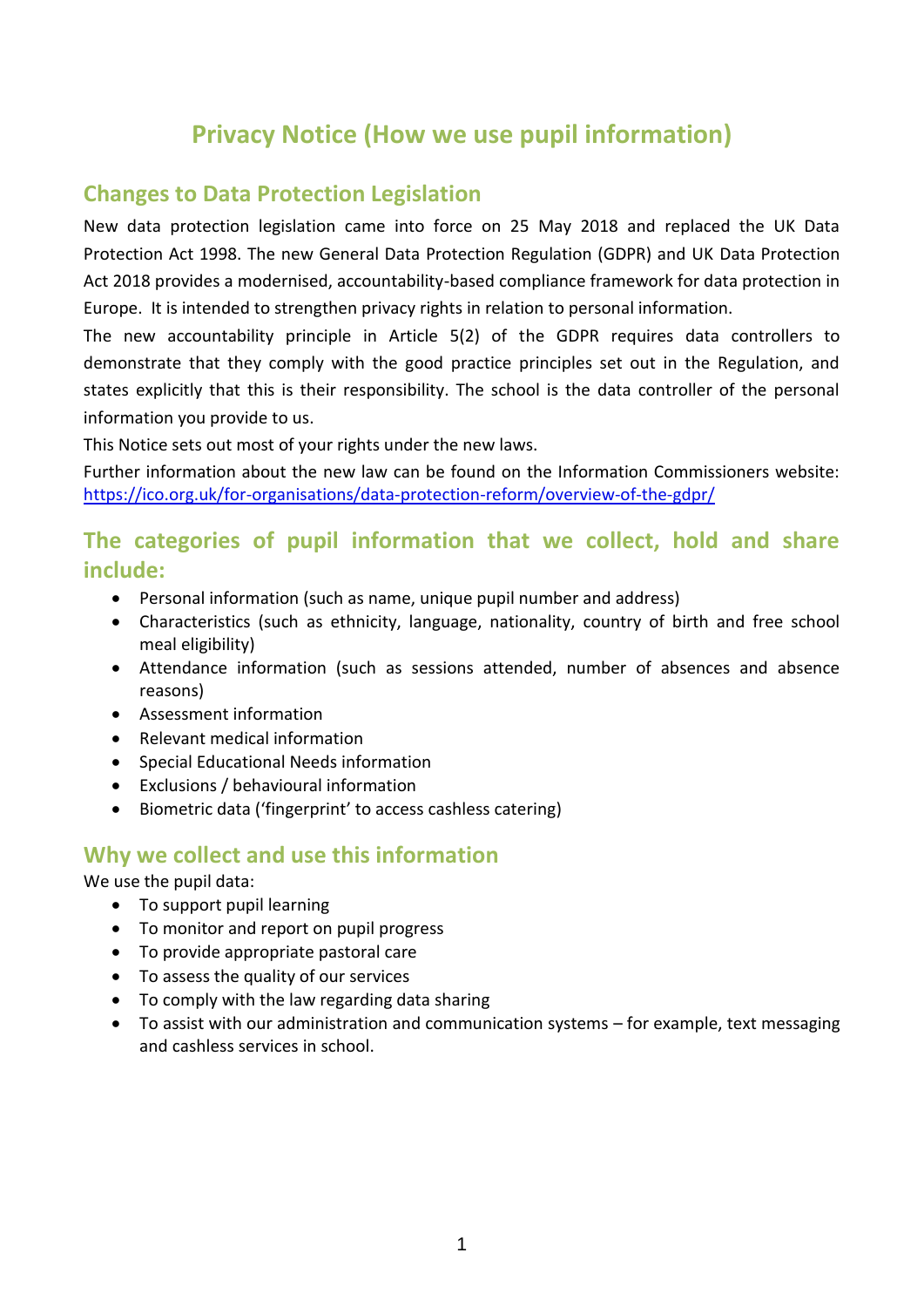# **Privacy Notice (How we use pupil information)**

### **Changes to Data Protection Legislation**

New data protection legislation came into force on 25 May 2018 and replaced the UK Data Protection Act 1998. The new General Data Protection Regulation (GDPR) and UK Data Protection Act 2018 provides a modernised, accountability-based compliance framework for data protection in Europe. It is intended to strengthen privacy rights in relation to personal information.

The new accountability principle in Article 5(2) of the GDPR requires data controllers to demonstrate that they comply with the good practice principles set out in the Regulation, and states explicitly that this is their responsibility. The school is the data controller of the personal information you provide to us.

This Notice sets out most of your rights under the new laws.

Further information about the new law can be found on the Information Commissioners website: <https://ico.org.uk/for-organisations/data-protection-reform/overview-of-the-gdpr/>

### **The categories of pupil information that we collect, hold and share include:**

- Personal information (such as name, unique pupil number and address)
- Characteristics (such as ethnicity, language, nationality, country of birth and free school meal eligibility)
- Attendance information (such as sessions attended, number of absences and absence reasons)
- Assessment information
- Relevant medical information
- Special Educational Needs information
- Exclusions / behavioural information
- Biometric data ('fingerprint' to access cashless catering)

# **Why we collect and use this information**

We use the pupil data:

- To support pupil learning
- To monitor and report on pupil progress
- To provide appropriate pastoral care
- To assess the quality of our services
- To comply with the law regarding data sharing
- To assist with our administration and communication systems for example, text messaging and cashless services in school.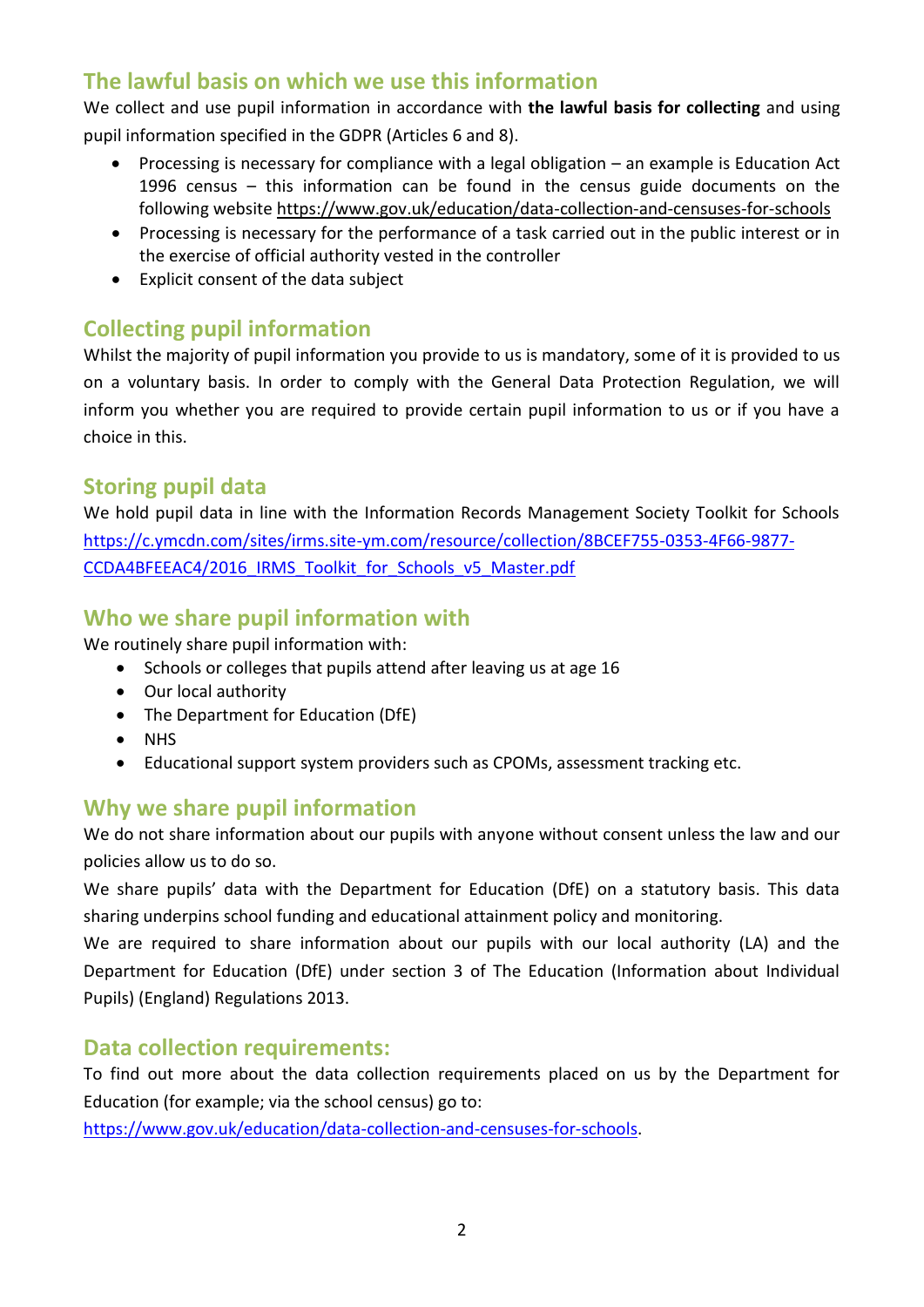# **The lawful basis on which we use this information**

We collect and use pupil information in accordance with **the lawful basis for collecting** and using pupil information specified in the GDPR (Articles 6 and 8).

- Processing is necessary for compliance with a legal obligation an example is Education Act 1996 census – this information can be found in the census guide documents on the following website<https://www.gov.uk/education/data-collection-and-censuses-for-schools>
- Processing is necessary for the performance of a task carried out in the public interest or in the exercise of official authority vested in the controller
- Explicit consent of the data subject

# **Collecting pupil information**

Whilst the majority of pupil information you provide to us is mandatory, some of it is provided to us on a voluntary basis. In order to comply with the General Data Protection Regulation, we will inform you whether you are required to provide certain pupil information to us or if you have a choice in this.

# **Storing pupil data**

We hold pupil data in line with the Information Records Management Society Toolkit for Schools [https://c.ymcdn.com/sites/irms.site-ym.com/resource/collection/8BCEF755-0353-4F66-9877-](https://c.ymcdn.com/sites/irms.site-ym.com/resource/collection/8BCEF755-0353-4F66-9877-CCDA4BFEEAC4/2016_IRMS_Toolkit_for_Schools_v5_Master.pdf) [CCDA4BFEEAC4/2016\\_IRMS\\_Toolkit\\_for\\_Schools\\_v5\\_Master.pdf](https://c.ymcdn.com/sites/irms.site-ym.com/resource/collection/8BCEF755-0353-4F66-9877-CCDA4BFEEAC4/2016_IRMS_Toolkit_for_Schools_v5_Master.pdf)

# **Who we share pupil information with**

We routinely share pupil information with:

- Schools or colleges that pupils attend after leaving us at age 16
- Our local authority
- The Department for Education (DfE)
- NHS
- Educational support system providers such as CPOMs, assessment tracking etc.

# **Why we share pupil information**

We do not share information about our pupils with anyone without consent unless the law and our policies allow us to do so.

We share pupils' data with the Department for Education (DfE) on a statutory basis. This data sharing underpins school funding and educational attainment policy and monitoring.

We are required to share information about our pupils with our local authority (LA) and the Department for Education (DfE) under section 3 of The Education (Information about Individual Pupils) (England) Regulations 2013.

#### **Data collection requirements:**

To find out more about the data collection requirements placed on us by the Department for Education (for example; via the school census) go to:

[https://www.gov.uk/education/data-collection-and-censuses-for-schools.](https://www.gov.uk/education/data-collection-and-censuses-for-schools)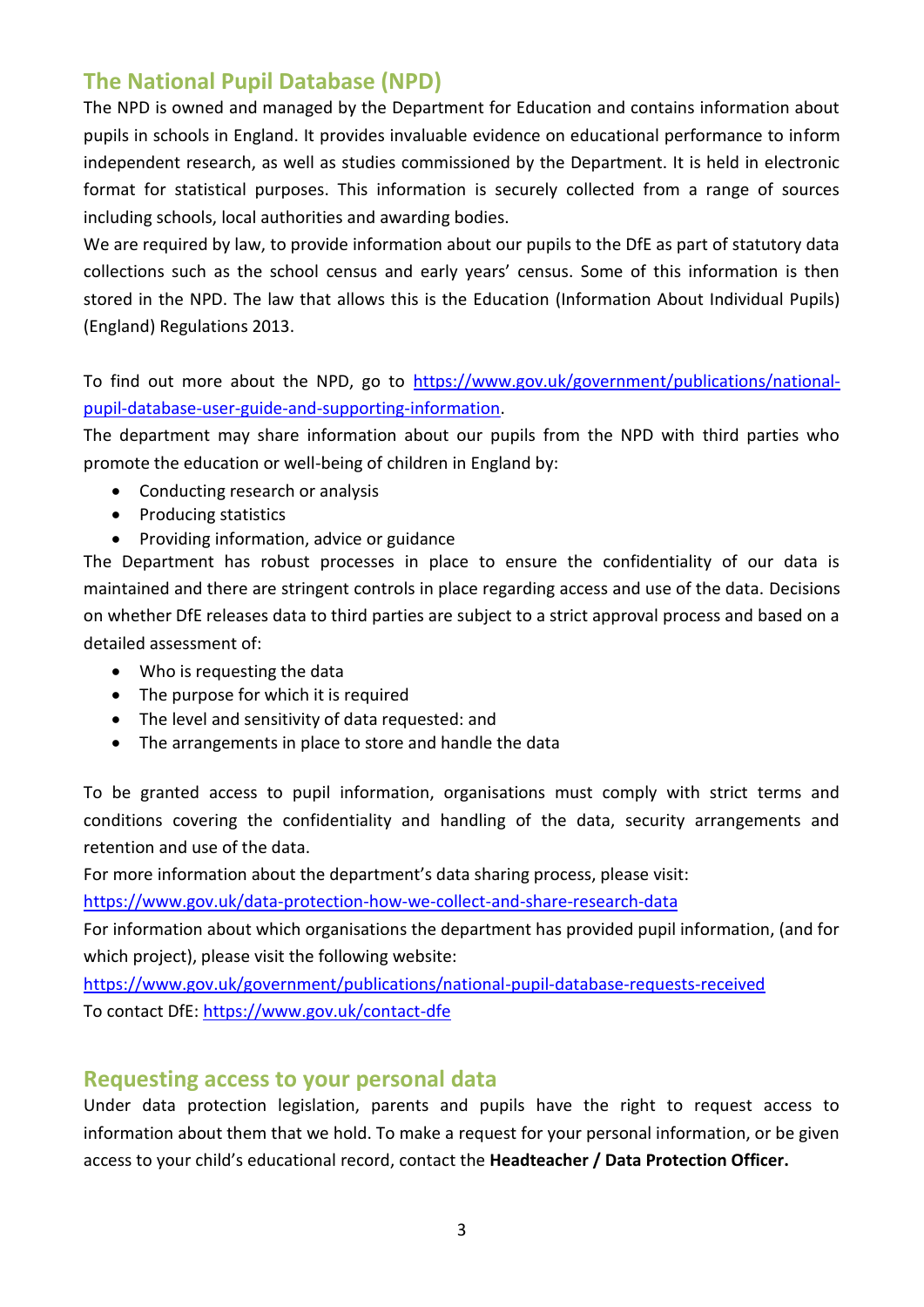### **The National Pupil Database (NPD)**

The NPD is owned and managed by the Department for Education and contains information about pupils in schools in England. It provides invaluable evidence on educational performance to inform independent research, as well as studies commissioned by the Department. It is held in electronic format for statistical purposes. This information is securely collected from a range of sources including schools, local authorities and awarding bodies.

We are required by law, to provide information about our pupils to the DfE as part of statutory data collections such as the school census and early years' census. Some of this information is then stored in the NPD. The law that allows this is the Education (Information About Individual Pupils) (England) Regulations 2013.

To find out more about the NPD, go to [https://www.gov.uk/government/publications/national](https://www.gov.uk/government/publications/national-pupil-database-user-guide-and-supporting-information)[pupil-database-user-guide-and-supporting-information.](https://www.gov.uk/government/publications/national-pupil-database-user-guide-and-supporting-information)

The department may share information about our pupils from the NPD with third parties who promote the education or well-being of children in England by:

- Conducting research or analysis
- Producing statistics
- Providing information, advice or guidance

The Department has robust processes in place to ensure the confidentiality of our data is maintained and there are stringent controls in place regarding access and use of the data. Decisions on whether DfE releases data to third parties are subject to a strict approval process and based on a detailed assessment of:

- Who is requesting the data
- The purpose for which it is required
- The level and sensitivity of data requested: and
- The arrangements in place to store and handle the data

To be granted access to pupil information, organisations must comply with strict terms and conditions covering the confidentiality and handling of the data, security arrangements and retention and use of the data.

For more information about the department's data sharing process, please visit:

<https://www.gov.uk/data-protection-how-we-collect-and-share-research-data>

For information about which organisations the department has provided pupil information, (and for which project), please visit the following website:

<https://www.gov.uk/government/publications/national-pupil-database-requests-received> To contact DfE:<https://www.gov.uk/contact-dfe>

#### **Requesting access to your personal data**

Under data protection legislation, parents and pupils have the right to request access to information about them that we hold. To make a request for your personal information, or be given access to your child's educational record, contact the **Headteacher / Data Protection Officer.**